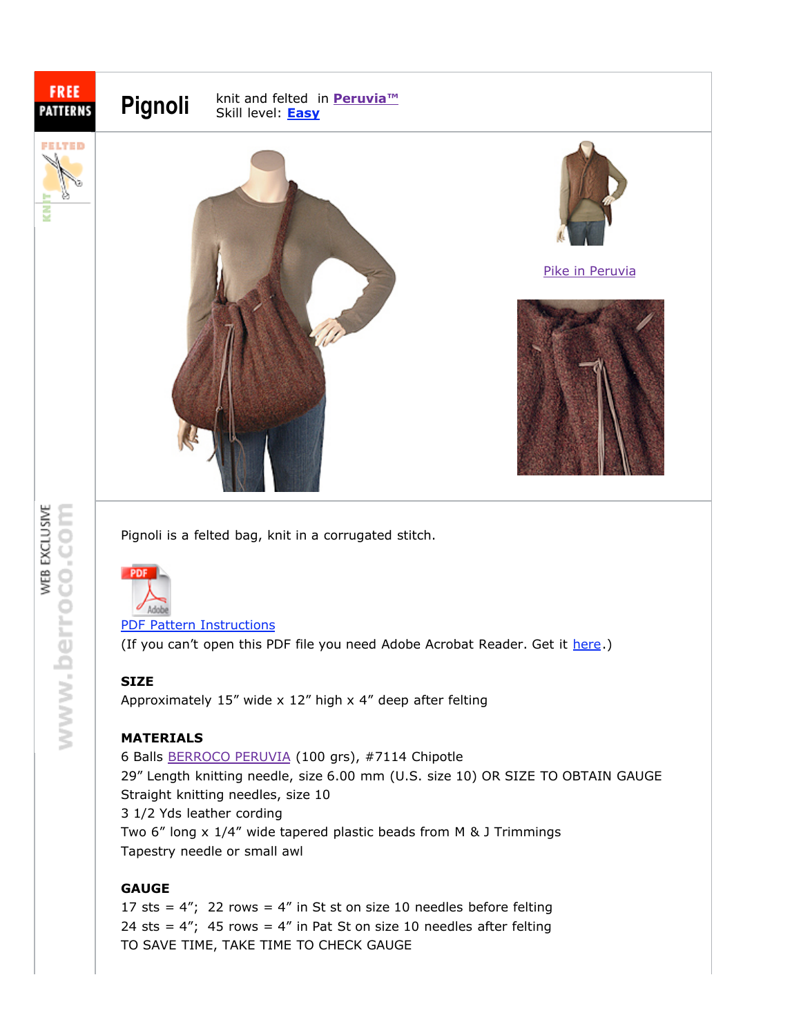